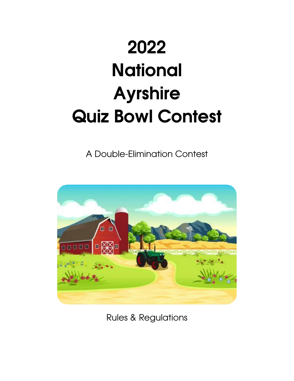# 2022 **National** Ayrshire Quiz Bowl Contest

A Double-Elimination Contest



Rules & Regulations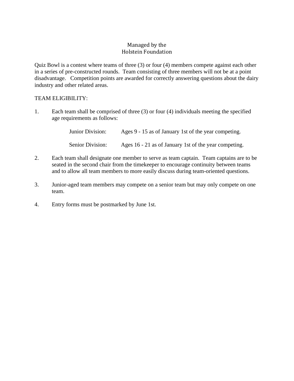## Managed by the Holstein Foundation

Quiz Bowl is a contest where teams of three (3) or four (4) members compete against each other in a series of pre-constructed rounds. Team consisting of three members will not be at a point disadvantage. Competition points are awarded for correctly answering questions about the dairy industry and other related areas.

## TEAM ELIGIBILITY:

1. Each team shall be comprised of three (3) or four (4) individuals meeting the specified age requirements as follows:

> Junior Division: Ages 9 - 15 as of January 1st of the year competing. Senior Division: Ages 16 - 21 as of January 1st of the year competing.

- 2. Each team shall designate one member to serve as team captain. Team captains are to be seated in the second chair from the timekeeper to encourage continuity between teams and to allow all team members to more easily discuss during team-oriented questions.
- 3. Junior-aged team members may compete on a senior team but may only compete on one team.
- 4. Entry forms must be postmarked by June 1st.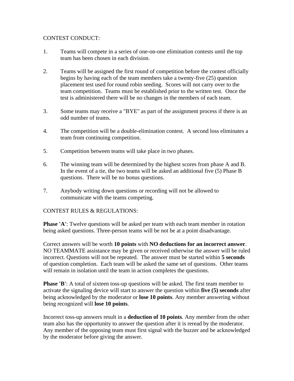## CONTEST CONDUCT:

- 1. Teams will compete in a series of one-on-one elimination contests until the top team has been chosen in each division.
- 2. Teams will be assigned the first round of competition before the contest officially begins by having each of the team members take a twenty-five (25) question placement test used for round robin seeding. Scores will not carry over to the team competition. Teams must be established prior to the written test. Once the test is administered there will be no changes in the members of each team.
- 3. Some teams may receive a "BYE" as part of the assignment process if there is an odd number of teams.
- 4. The competition will be a double-elimination contest. A second loss eliminates a team from continuing competition.
- 5. Competition between teams will take place in two phases.
- 6. The winning team will be determined by the highest scores from phase A and B. In the event of a tie, the two teams will be asked an additional five (5) Phase B questions. There will be no bonus questions.
- 7. Anybody writing down questions or recording will not be allowed to communicate with the teams competing.

#### CONTEST RULES & REGULATIONS:

**Phase 'A':** Twelve questions will be asked per team with each team member in rotation being asked questions. Three-person teams will be not be at a point disadvantage.

Correct answers will be worth **10 points** with **NO deductions for an incorrect answer**. NO TEAMMATE assistance may be given or received otherwise the answer will be ruled incorrect. Questions will not be repeated. The answer must be started within **5 seconds** of question completion. Each team will be asked the same set of questions. Other teams will remain in isolation until the team in action completes the questions.

**Phase 'B':** A total of sixteen toss-up questions will be asked. The first team member to activate the signaling device will start to answer the question within **five (5) seconds** after being acknowledged by the moderator or **lose 10 points**. Any member answering without being recognized will **lose 10 points**.

Incorrect toss-up answers result in a **deduction of 10 points**. Any member from the other team also has the opportunity to answer the question after it is reread by the moderator. Any member of the opposing team must first signal with the buzzer and be acknowledged by the moderator before giving the answer.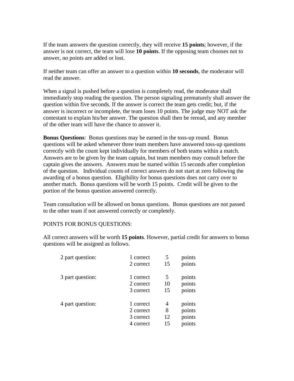If the team answers the question correctly, they will receive **15 points**; however, if the answer is not correct, the team will lose **10 points**. If the opposing team chooses not to answer, no points are added or lost.

If neither team can offer an answer to a question within **10 seconds**, the moderator will read the answer.

When a signal is pushed before a question is completely read, the moderator shall immediately stop reading the question. The person signaling prematurely shall answer the question within five seconds. If the answer is correct the team gets credit; but, if the answer is incorrect or incomplete, the team loses 10 points. The judge may NOT ask the contestant to explain his/her answer. The question shall then be reread, and any member of the other team will have the chance to answer it.

**Bonus Questions**: Bonus questions may be earned in the toss-up round. Bonus questions will be asked whenever three team members have answered toss-up questions correctly with the count kept individually for members of both teams within a match. Answers are to be given by the team captain, but team members may consult before the captain gives the answers. Answers must be started within 15 seconds after completion of the question. Individual counts of correct answers do not start at zero following the awarding of a bonus question. Eligibility for bonus questions does not carry over to another match. Bonus questions will be worth 15 points. Credit will be given to the portion of the bonus question answered correctly.

Team consultation will be allowed on bonus questions. Bonus questions are not passed to the other team if not answered correctly or completely.

#### POINTS FOR BONUS QUESTIONS:

All correct answers will be worth **15 points**. However, partial credit for answers to bonus questions will be assigned as follows.

| 1 correct | 5  | points |
|-----------|----|--------|
| 2 correct | 15 | points |
| 1 correct | 5  | points |
| 2 correct | 10 | points |
| 3 correct | 15 | points |
| 1 correct | 4  | points |
| 2 correct | 8  | points |
| 3 correct | 12 | points |
| 4 correct | 15 | points |
|           |    |        |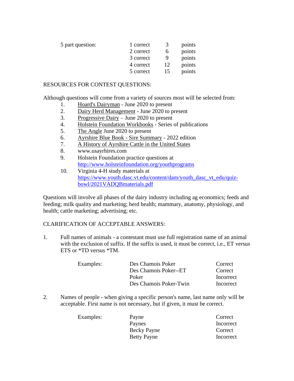| 5 part question: | 1 correct |          | points |
|------------------|-----------|----------|--------|
|                  |           | $\Delta$ |        |
|                  | 2 correct |          | points |
|                  | 3 correct |          | points |
|                  | 4 correct | 12       | points |
|                  | 5 correct |          | points |

## RESOURCES FOR CONTEST QUESTIONS:

Although questions will come from a variety of sources most will be selected from:

- 1. Hoard's Dairyman June 2020 to present
- 2. Dairy Herd Management June 2020 to present
- 3. Progressive Dairy June 2020 to present
- 4. Holstein Foundation Workbooks Series of publications
- 5. The Angle June 2020 to present
- 6. Ayrshire Blue Book Sire Summary 2022 edition
- 7. A History of Ayrshire Cattle in the United States
- 8. www.usayrhires.com
- 9. Holstein Foundation practice questions at <http://www.holsteinfoundation.org/youthprograms>
- 10. Virginia 4-H study materials at [https://www.youth.dasc.vt.edu/content/dam/youth\\_dasc\\_vt\\_edu/quiz](https://www.youth.dasc.vt.edu/content/dam/youth_dasc_vt_edu/quiz-bowl/2021VADQBmaterials.pdf)[bowl/2021VADQBmaterials.pdf](https://www.youth.dasc.vt.edu/content/dam/youth_dasc_vt_edu/quiz-bowl/2021VADQBmaterials.pdf)

Questions will involve all phases of the dairy industry including ag economics; feeds and feeding; milk quality and marketing; herd health; mammary, anatomy, physiology, and health; cattle marketing; advertising; etc.

## CLARIFICATION OF ACCEPTABLE ANSWERS:

1. Full names of animals - a contestant must use full registration name of an animal with the exclusion of suffix. If the suffix is used, it must be correct, i.e., ET versus ETS or \*TD versus \*TM.

| Examples: | Des Chamois Poker      | Correct   |
|-----------|------------------------|-----------|
|           | Des Chamois Poker--ET  | Correct   |
|           | Poker                  | Incorrect |
|           | Des Chamois Poker-Twin | Incorrect |

2. Names of people - when giving a specific person's name, last name only will be acceptable. First name is not necessary, but if given, it must be correct.

| Incorrect |
|-----------|
| Correct   |
| Incorrect |
|           |